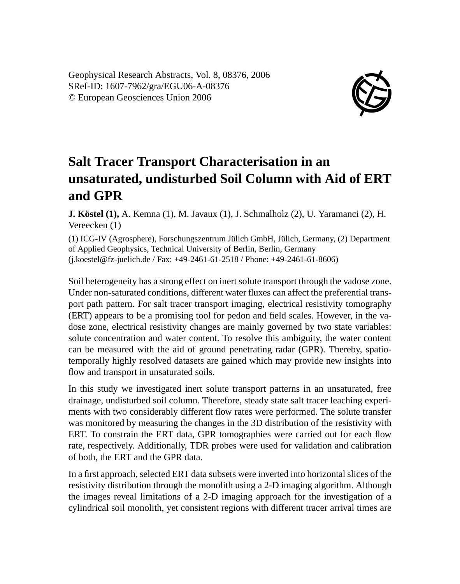Geophysical Research Abstracts, Vol. 8, 08376, 2006 SRef-ID: 1607-7962/gra/EGU06-A-08376 © European Geosciences Union 2006



## **Salt Tracer Transport Characterisation in an unsaturated, undisturbed Soil Column with Aid of ERT and GPR**

**J. Köstel (1),** A. Kemna (1), M. Javaux (1), J. Schmalholz (2), U. Yaramanci (2), H. Vereecken (1)

(1) ICG-IV (Agrosphere), Forschungszentrum Jülich GmbH, Jülich, Germany, (2) Department of Applied Geophysics, Technical University of Berlin, Berlin, Germany (j.koestel@fz-juelich.de / Fax: +49-2461-61-2518 / Phone: +49-2461-61-8606)

Soil heterogeneity has a strong effect on inert solute transport through the vadose zone. Under non-saturated conditions, different water fluxes can affect the preferential transport path pattern. For salt tracer transport imaging, electrical resistivity tomography (ERT) appears to be a promising tool for pedon and field scales. However, in the vadose zone, electrical resistivity changes are mainly governed by two state variables: solute concentration and water content. To resolve this ambiguity, the water content can be measured with the aid of ground penetrating radar (GPR). Thereby, spatiotemporally highly resolved datasets are gained which may provide new insights into flow and transport in unsaturated soils.

In this study we investigated inert solute transport patterns in an unsaturated, free drainage, undisturbed soil column. Therefore, steady state salt tracer leaching experiments with two considerably different flow rates were performed. The solute transfer was monitored by measuring the changes in the 3D distribution of the resistivity with ERT. To constrain the ERT data, GPR tomographies were carried out for each flow rate, respectively. Additionally, TDR probes were used for validation and calibration of both, the ERT and the GPR data.

In a first approach, selected ERT data subsets were inverted into horizontal slices of the resistivity distribution through the monolith using a 2-D imaging algorithm. Although the images reveal limitations of a 2-D imaging approach for the investigation of a cylindrical soil monolith, yet consistent regions with different tracer arrival times are